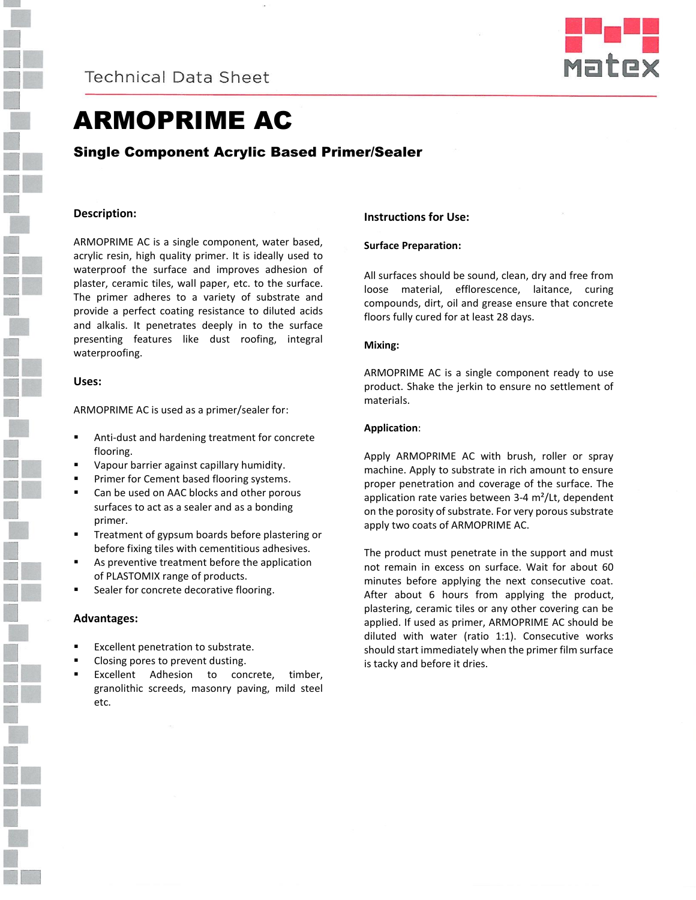

**Technical Data Sheet** 



# ARMOPRIME AC

Single Component Acrylic Based Primer/Sealer

## **Description:**

ARMOPRIME AC is a single component, water based, acrylic resin, high quality primer. It is ideally used to waterproof the surface and improves adhesion of plaster, ceramic tiles, wall paper, etc. to the surface. The primer adheres to a variety of substrate and provide a perfect coating resistance to diluted acids and alkalis. It penetrates deeply in to the surface presenting features like dust roofing, integral waterproofing.

## **Uses:**

ARMOPRIME AC is used as a primer/sealer for:

- Anti-dust and hardening treatment for concrete flooring.
- Vapour barrier against capillary humidity.
- Primer for Cement based flooring systems.
- Can be used on AAC blocks and other porous surfaces to act as a sealer and as a bonding primer.
- Treatment of gypsum boards before plastering or before fixing tiles with cementitious adhesives.
- As preventive treatment before the application of PLASTOMIX range of products.
- Sealer for concrete decorative flooring.

### **Advantages:**

- Excellent penetration to substrate.
- Closing pores to prevent dusting.
- Excellent Adhesion to concrete, timber, granolithic screeds, masonry paving, mild steel etc.

### **Instructions for Use:**

#### **Surface Preparation:**

All surfaces should be sound, clean, dry and free from loose material, efflorescence, laitance, curing compounds, dirt, oil and grease ensure that concrete floors fully cured for at least 28 days.

### **Mixing:**

ARMOPRIME AC is a single component ready to use product. Shake the jerkin to ensure no settlement of materials.

#### **Application**:

Apply ARMOPRIME AC with brush, roller or spray machine. Apply to substrate in rich amount to ensure proper penetration and coverage of the surface. The application rate varies between 3-4 m²/Lt, dependent on the porosity of substrate. For very porous substrate apply two coats of ARMOPRIME AC.

The product must penetrate in the support and must not remain in excess on surface. Wait for about 60 minutes before applying the next consecutive coat. After about 6 hours from applying the product, plastering, ceramic tiles or any other covering can be applied. If used as primer, ARMOPRIME AC should be diluted with water (ratio 1:1). Consecutive works should start immediately when the primer film surface is tacky and before it dries.